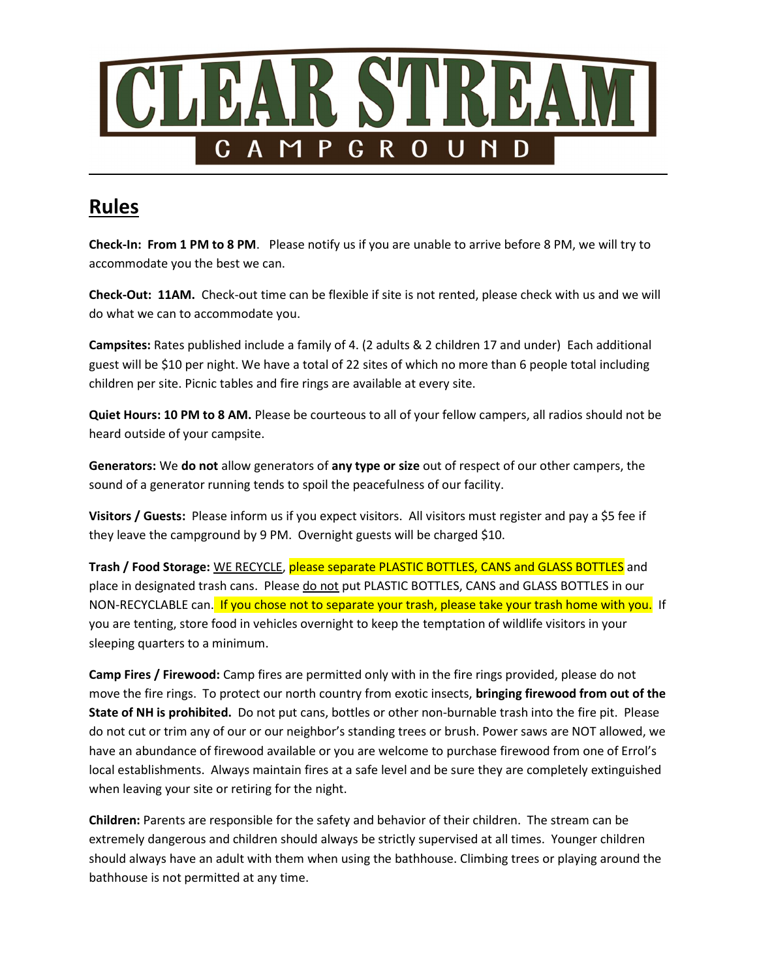

# Rules

Check-In: From 1 PM to 8 PM. Please notify us if you are unable to arrive before 8 PM, we will try to accommodate you the best we can.

Check-Out: 11AM. Check-out time can be flexible if site is not rented, please check with us and we will do what we can to accommodate you.

Campsites: Rates published include a family of 4. (2 adults & 2 children 17 and under) Each additional guest will be \$10 per night. We have a total of 22 sites of which no more than 6 people total including children per site. Picnic tables and fire rings are available at every site.

Quiet Hours: 10 PM to 8 AM. Please be courteous to all of your fellow campers, all radios should not be heard outside of your campsite.

Generators: We do not allow generators of any type or size out of respect of our other campers, the sound of a generator running tends to spoil the peacefulness of our facility.

Visitors / Guests: Please inform us if you expect visitors. All visitors must register and pay a \$5 fee if they leave the campground by 9 PM. Overnight guests will be charged \$10.

Trash / Food Storage: WE RECYCLE, please separate PLASTIC BOTTLES, CANS and GLASS BOTTLES and place in designated trash cans. Please do not put PLASTIC BOTTLES, CANS and GLASS BOTTLES in our NON-RECYCLABLE can. If you chose not to separate your trash, please take your trash home with you. If you are tenting, store food in vehicles overnight to keep the temptation of wildlife visitors in your sleeping quarters to a minimum.

Camp Fires / Firewood: Camp fires are permitted only with in the fire rings provided, please do not move the fire rings. To protect our north country from exotic insects, bringing firewood from out of the State of NH is prohibited. Do not put cans, bottles or other non-burnable trash into the fire pit. Please do not cut or trim any of our or our neighbor's standing trees or brush. Power saws are NOT allowed, we have an abundance of firewood available or you are welcome to purchase firewood from one of Errol's local establishments. Always maintain fires at a safe level and be sure they are completely extinguished when leaving your site or retiring for the night.

Children: Parents are responsible for the safety and behavior of their children. The stream can be extremely dangerous and children should always be strictly supervised at all times. Younger children should always have an adult with them when using the bathhouse. Climbing trees or playing around the bathhouse is not permitted at any time.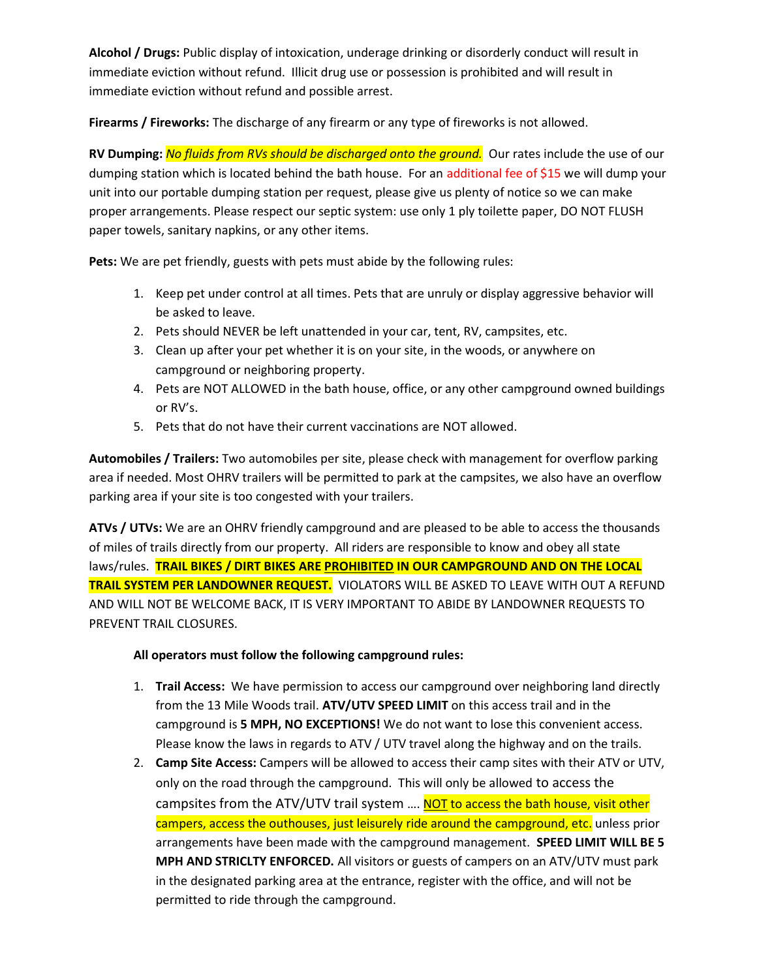Alcohol / Drugs: Public display of intoxication, underage drinking or disorderly conduct will result in immediate eviction without refund. Illicit drug use or possession is prohibited and will result in immediate eviction without refund and possible arrest.

Firearms / Fireworks: The discharge of any firearm or any type of fireworks is not allowed.

RV Dumping: No fluids from RVs should be discharged onto the ground. Our rates include the use of our dumping station which is located behind the bath house. For an additional fee of \$15 we will dump your unit into our portable dumping station per request, please give us plenty of notice so we can make proper arrangements. Please respect our septic system: use only 1 ply toilette paper, DO NOT FLUSH paper towels, sanitary napkins, or any other items.

Pets: We are pet friendly, guests with pets must abide by the following rules:

- 1. Keep pet under control at all times. Pets that are unruly or display aggressive behavior will be asked to leave.
- 2. Pets should NEVER be left unattended in your car, tent, RV, campsites, etc.
- 3. Clean up after your pet whether it is on your site, in the woods, or anywhere on campground or neighboring property.
- 4. Pets are NOT ALLOWED in the bath house, office, or any other campground owned buildings or RV's.
- 5. Pets that do not have their current vaccinations are NOT allowed.

Automobiles / Trailers: Two automobiles per site, please check with management for overflow parking area if needed. Most OHRV trailers will be permitted to park at the campsites, we also have an overflow parking area if your site is too congested with your trailers.

ATVs / UTVs: We are an OHRV friendly campground and are pleased to be able to access the thousands of miles of trails directly from our property. All riders are responsible to know and obey all state laws/rules. TRAIL BIKES / DIRT BIKES ARE PROHIBITED IN OUR CAMPGROUND AND ON THE LOCAL TRAIL SYSTEM PER LANDOWNER REQUEST. VIOLATORS WILL BE ASKED TO LEAVE WITH OUT A REFUND AND WILL NOT BE WELCOME BACK, IT IS VERY IMPORTANT TO ABIDE BY LANDOWNER REQUESTS TO PREVENT TRAIL CLOSURES.

#### All operators must follow the following campground rules:

- 1. Trail Access: We have permission to access our campground over neighboring land directly from the 13 Mile Woods trail. ATV/UTV SPEED LIMIT on this access trail and in the campground is 5 MPH, NO EXCEPTIONS! We do not want to lose this convenient access. Please know the laws in regards to ATV / UTV travel along the highway and on the trails.
- 2. Camp Site Access: Campers will be allowed to access their camp sites with their ATV or UTV, only on the road through the campground. This will only be allowed to access the campsites from the ATV/UTV trail system .... NOT to access the bath house, visit other campers, access the outhouses, just leisurely ride around the campground, etc. unless prior arrangements have been made with the campground management. SPEED LIMIT WILL BE 5 MPH AND STRICLTY ENFORCED. All visitors or guests of campers on an ATV/UTV must park in the designated parking area at the entrance, register with the office, and will not be permitted to ride through the campground.